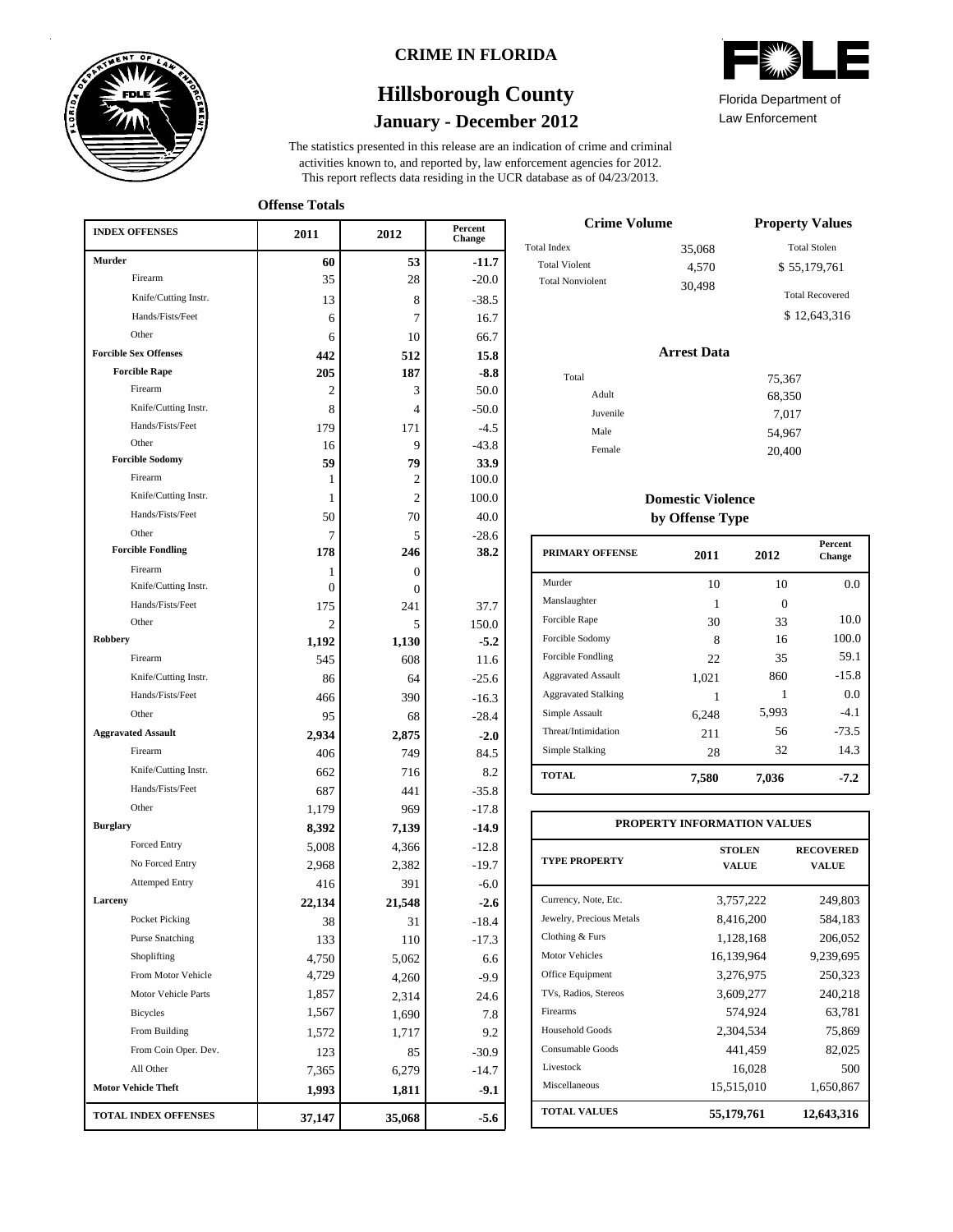

### **CRIME IN FLORIDA**

## **January - December 2012 Hillsborough County**

This report reflects data residing in the UCR database as of 04/23/2013. activities known to, and reported by, law enforcement agencies for 2012. The statistics presented in this release are an indication of crime and criminal



Law Enforcement Florida Department of

**Offense Totals**

| <b>INDEX OFFENSES</b>             | 2011           | 2012            | Percent<br>Change |
|-----------------------------------|----------------|-----------------|-------------------|
| <b>Murder</b>                     | 60             | 53              | -11.7             |
| Firearm                           | 35             | 28              | $-20.0$           |
| Knife/Cutting Instr.              | 13             | 8               | $-38.5$           |
| Hands/Fists/Feet                  | 6              | 7               | 16.7              |
| Other                             | 6              | 10              | 66.7              |
| <b>Forcible Sex Offenses</b>      | 442            | 512             | 15.8              |
| <b>Forcible Rape</b>              | 205            | 187             | $-8.8$            |
| Firearm                           | 2              | 3               | 50.0              |
| Knife/Cutting Instr.              | 8              | $\overline{4}$  | $-50.0$           |
| Hands/Fists/Feet                  | 179            | 171             | $-4.5$            |
| Other                             | 16             | 9               | $-43.8$           |
| <b>Forcible Sodomy</b>            | 59             | 79              | 33.9              |
| Firearm                           | 1              | 2               | 100.0             |
| Knife/Cutting Instr.              | 1              | $\overline{c}$  | 100.0             |
| Hands/Fists/Feet                  | 50             | 70              | 40.0              |
| Other<br><b>Forcible Fondling</b> | 7              | 5               | $-28.6$           |
|                                   | 178            | 246             | 38.2              |
| Firearm<br>Knife/Cutting Instr.   | 1<br>$\theta$  | $\mathbf{0}$    |                   |
| Hands/Fists/Feet                  | 175            | $\Omega$<br>241 | 37.7              |
| Other                             | $\overline{c}$ | 5               | 150.0             |
| Robbery                           | 1,192          | 1,130           | $-5.2$            |
| Firearm                           | 545            | 608             | 11.6              |
| Knife/Cutting Instr.              | 86             | 64              | $-25.6$           |
| Hands/Fists/Feet                  | 466            | 390             | $-16.3$           |
| Other                             | 95             | 68              | $-28.4$           |
| <b>Aggravated Assault</b>         | 2,934          | 2,875           | $-2.0$            |
| Firearm                           | 406            | 749             | 84.5              |
| Knife/Cutting Instr.              | 662            | 716             | 8.2               |
| Hands/Fists/Feet                  | 687            | 441             | $-35.8$           |
| Other                             | 1,179          | 969             | $-17.8$           |
| <b>Burglary</b>                   | 8,392          | 7,139           | $-14.9$           |
| Forced Entry                      | 5,008          | 4,366           | $-12.8$           |
| No Forced Entry                   | 2,968          | 2,382           | $-19.7$           |
| <b>Attemped Entry</b>             | 416            | 391             | $-6.0$            |
| Larceny                           | 22,134         | 21,548          | $-2.6$            |
| Pocket Picking                    | 38             | 31              | $-18.4$           |
| <b>Purse Snatching</b>            | 133            | 110             | $-17.3$           |
| Shoplifting                       | 4,750          | 5,062           | 6.6               |
| From Motor Vehicle                | 4,729          | 4,260           | $-9.9$            |
| Motor Vehicle Parts               | 1,857          | 2,314           | 24.6              |
| <b>Bicycles</b>                   | 1,567          | 1,690           | 7.8               |
| From Building                     | 1,572          | 1,717           | 9.2               |
| From Coin Oper. Dev.              | 123            | 85              | $-30.9$           |
| All Other                         | 7,365          | 6,279           | $-14.7$           |
| <b>Motor Vehicle Theft</b>        | 1,993          | 1,811           | $-9.1$            |
| TOTAL INDEX OFFENSES              | 37,147         | 35,068          | $-5.6$            |

| <b>Crime Volume</b>     | <b>Property Values</b> |                        |  |
|-------------------------|------------------------|------------------------|--|
| <b>Total Index</b>      | 35,068                 | <b>Total Stolen</b>    |  |
| <b>Total Violent</b>    | 4.570                  | \$55,179,761           |  |
| <b>Total Nonviolent</b> | 30.498                 | <b>Total Recovered</b> |  |
|                         |                        | \$12,643,316           |  |

### **Arrest Data**

| Total |          | 75,367 |
|-------|----------|--------|
|       | Adult    | 68,350 |
|       | Juvenile | 7,017  |
|       | Male     | 54,967 |
|       | Female   | 20,400 |
|       |          |        |

### **Domestic Violence by Offense Type**

| <b>PRIMARY OFFENSE</b>     | 2011  | 2012  | <b>Percent</b><br>Change |
|----------------------------|-------|-------|--------------------------|
| Murder                     | 10    | 10    | 0.0                      |
| Manslaughter               | 1     | 0     |                          |
| Forcible Rape              | 30    | 33    | 10.0                     |
| Forcible Sodomy            | 8     | 16    | 100.0                    |
| Forcible Fondling          | 22    | 35    | 59.1                     |
| <b>Aggravated Assault</b>  | 1,021 | 860   | $-15.8$                  |
| <b>Aggravated Stalking</b> |       | 1     | 0.0                      |
| Simple Assault             | 6.248 | 5,993 | $-4.1$                   |
| Threat/Intimidation        | 211   | 56    | $-73.5$                  |
| Simple Stalking            | 28    | 32    | 14.3                     |
| <b>TOTAL</b>               | 7,580 | 7,036 | $-7.2$                   |

| PROPERTY INFORMATION VALUES |                               |                           |  |  |  |  |  |
|-----------------------------|-------------------------------|---------------------------|--|--|--|--|--|
| <b>TYPE PROPERTY</b>        | <b>STOLEN</b><br><b>VALUE</b> | <b>RECOVERED</b><br>VALUE |  |  |  |  |  |
| Currency, Note, Etc.        | 3,757,222                     | 249,803                   |  |  |  |  |  |
| Jewelry, Precious Metals    | 8,416,200                     | 584,183                   |  |  |  |  |  |
| Clothing & Furs             | 1,128,168                     | 206,052                   |  |  |  |  |  |
| <b>Motor Vehicles</b>       | 16,139,964                    | 9,239,695                 |  |  |  |  |  |
| Office Equipment            | 3,276,975                     | 250,323                   |  |  |  |  |  |
| TVs, Radios, Stereos        | 3,609,277                     | 240,218                   |  |  |  |  |  |
| Firearms                    | 574,924                       | 63,781                    |  |  |  |  |  |
| Household Goods             | 2,304,534                     | 75,869                    |  |  |  |  |  |
| Consumable Goods            | 441.459                       | 82,025                    |  |  |  |  |  |
| Livestock                   | 16,028                        | 500                       |  |  |  |  |  |
| Miscellaneous               | 15,515,010                    | 1,650,867                 |  |  |  |  |  |
| <b>TOTAL VALUES</b>         | 55,179,761                    | 12,643,316                |  |  |  |  |  |